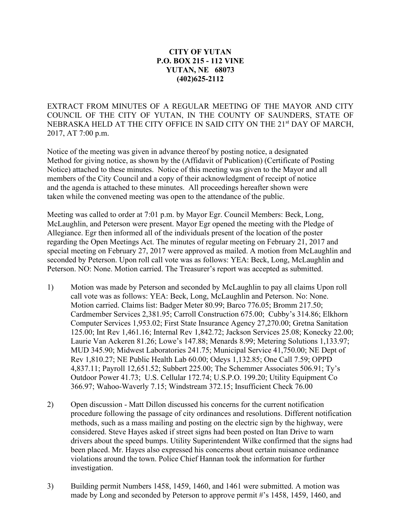## **CITY OF YUTAN P.O. BOX 215 - 112 VINE YUTAN, NE 68073 (402)625-2112**

EXTRACT FROM MINUTES OF A REGULAR MEETING OF THE MAYOR AND CITY COUNCIL OF THE CITY OF YUTAN, IN THE COUNTY OF SAUNDERS, STATE OF NEBRASKA HELD AT THE CITY OFFICE IN SAID CITY ON THE 21st DAY OF MARCH, 2017, AT 7:00 p.m.

Notice of the meeting was given in advance thereof by posting notice, a designated Method for giving notice, as shown by the (Affidavit of Publication) (Certificate of Posting Notice) attached to these minutes. Notice of this meeting was given to the Mayor and all members of the City Council and a copy of their acknowledgment of receipt of notice and the agenda is attached to these minutes. All proceedings hereafter shown were taken while the convened meeting was open to the attendance of the public.

Meeting was called to order at 7:01 p.m. by Mayor Egr. Council Members: Beck, Long, McLaughlin, and Peterson were present. Mayor Egr opened the meeting with the Pledge of Allegiance. Egr then informed all of the individuals present of the location of the poster regarding the Open Meetings Act. The minutes of regular meeting on February 21, 2017 and special meeting on February 27, 2017 were approved as mailed. A motion from McLaughlin and seconded by Peterson. Upon roll call vote was as follows: YEA: Beck, Long, McLaughlin and Peterson. NO: None. Motion carried. The Treasurer's report was accepted as submitted.

- 1) Motion was made by Peterson and seconded by McLaughlin to pay all claims Upon roll call vote was as follows: YEA: Beck, Long, McLaughlin and Peterson. No: None. Motion carried. Claims list: Badger Meter 80.99; Barco 776.05; Bromm 217.50; Cardmember Services 2,381.95; Carroll Construction 675.00; Cubby's 314.86; Elkhorn Computer Services 1,953.02; First State Insurance Agency 27,270.00; Gretna Sanitation 125.00; Int Rev 1,461.16; Internal Rev 1,842.72; Jackson Services 25.08; Konecky 22.00; Laurie Van Ackeren 81.26; Lowe's 147.88; Menards 8.99; Metering Solutions 1,133.97; MUD 345.90; Midwest Laboratories 241.75; Municipal Service 41,750.00; NE Dept of Rev 1,810.27; NE Public Health Lab 60.00; Odeys 1,132.85; One Call 7.59; OPPD 4,837.11; Payroll 12,651.52; Subbert 225.00; The Schemmer Associates 506.91; Ty's Outdoor Power 41.73; U.S. Cellular 172.74; U.S.P.O. 199.20; Utility Equipment Co 366.97; Wahoo-Waverly 7.15; Windstream 372.15; Insufficient Check 76.00
- 2) Open discussion Matt Dillon discussed his concerns for the current notification procedure following the passage of city ordinances and resolutions. Different notification methods, such as a mass mailing and posting on the electric sign by the highway, were considered. Steve Hayes asked if street signs had been posted on Itan Drive to warn drivers about the speed bumps. Utility Superintendent Wilke confirmed that the signs had been placed. Mr. Hayes also expressed his concerns about certain nuisance ordinance violations around the town. Police Chief Hannan took the information for further investigation.
- 3) Building permit Numbers 1458, 1459, 1460, and 1461 were submitted. A motion was made by Long and seconded by Peterson to approve permit #'s 1458, 1459, 1460, and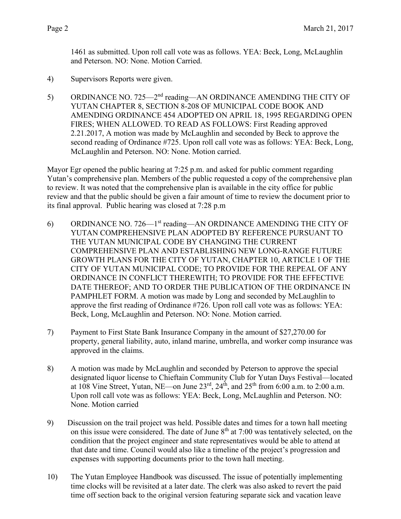1461 as submitted. Upon roll call vote was as follows. YEA: Beck, Long, McLaughlin and Peterson. NO: None. Motion Carried.

- 4) Supervisors Reports were given.
- 5) ORDINANCE NO. 725—2<sup>nd</sup> reading—AN ORDINANCE AMENDING THE CITY OF YUTAN CHAPTER 8, SECTION 8-208 OF MUNICIPAL CODE BOOK AND AMENDING ORDINANCE 454 ADOPTED ON APRIL 18, 1995 REGARDING OPEN FIRES; WHEN ALLOWED. TO READ AS FOLLOWS: First Reading approved 2.21.2017, A motion was made by McLaughlin and seconded by Beck to approve the second reading of Ordinance #725. Upon roll call vote was as follows: YEA: Beck, Long, McLaughlin and Peterson. NO: None. Motion carried.

Mayor Egr opened the public hearing at 7:25 p.m. and asked for public comment regarding Yutan's comprehensive plan. Members of the public requested a copy of the comprehensive plan to review. It was noted that the comprehensive plan is available in the city office for public review and that the public should be given a fair amount of time to review the document prior to its final approval. Public hearing was closed at 7:28 p.m

- 6) ORDINANCE NO. 726—1st reading—AN ORDINANCE AMENDING THE CITY OF YUTAN COMPREHENSIVE PLAN ADOPTED BY REFERENCE PURSUANT TO THE YUTAN MUNICIPAL CODE BY CHANGING THE CURRENT COMPREHENSIVE PLAN AND ESTABLISHING NEW LONG-RANGE FUTURE GROWTH PLANS FOR THE CITY OF YUTAN, CHAPTER 10, ARTICLE 1 OF THE CITY OF YUTAN MUNICIPAL CODE; TO PROVIDE FOR THE REPEAL OF ANY ORDINANCE IN CONFLICT THEREWITH; TO PROVIDE FOR THE EFFECTIVE DATE THEREOF; AND TO ORDER THE PUBLICATION OF THE ORDINANCE IN PAMPHLET FORM. A motion was made by Long and seconded by McLaughlin to approve the first reading of Ordinance #726. Upon roll call vote was as follows: YEA: Beck, Long, McLaughlin and Peterson. NO: None. Motion carried.
- 7) Payment to First State Bank Insurance Company in the amount of \$27,270.00 for property, general liability, auto, inland marine, umbrella, and worker comp insurance was approved in the claims.
- 8) A motion was made by McLaughlin and seconded by Peterson to approve the special designated liquor license to Chieftain Community Club for Yutan Days Festival—located at 108 Vine Street, Yutan, NE—on June  $23<sup>rd</sup>$ ,  $24<sup>th</sup>$ , and  $25<sup>th</sup>$  from 6:00 a.m. to 2:00 a.m. Upon roll call vote was as follows: YEA: Beck, Long, McLaughlin and Peterson. NO: None. Motion carried
- 9) Discussion on the trail project was held. Possible dates and times for a town hall meeting on this issue were considered. The date of June  $8<sup>th</sup>$  at 7:00 was tentatively selected, on the condition that the project engineer and state representatives would be able to attend at that date and time. Council would also like a timeline of the project's progression and expenses with supporting documents prior to the town hall meeting.
- 10) The Yutan Employee Handbook was discussed. The issue of potentially implementing time clocks will be revisited at a later date. The clerk was also asked to revert the paid time off section back to the original version featuring separate sick and vacation leave